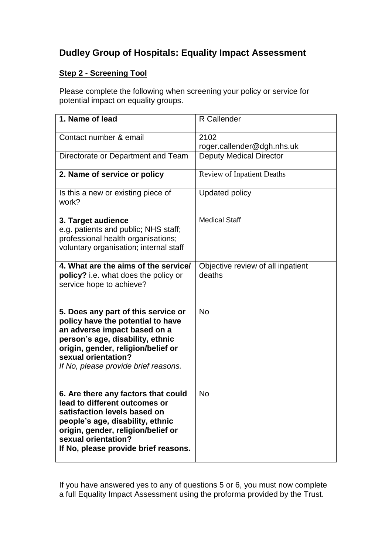## **Dudley Group of Hospitals: Equality Impact Assessment**

## **Step 2 - Screening Tool**

Please complete the following when screening your policy or service for potential impact on equality groups.

| 1. Name of lead                                                                                                                                                                                                                                   | R Callender                                 |
|---------------------------------------------------------------------------------------------------------------------------------------------------------------------------------------------------------------------------------------------------|---------------------------------------------|
| Contact number & email                                                                                                                                                                                                                            | 2102<br>roger.callender@dgh.nhs.uk          |
| Directorate or Department and Team                                                                                                                                                                                                                | <b>Deputy Medical Director</b>              |
| 2. Name of service or policy                                                                                                                                                                                                                      | <b>Review of Inpatient Deaths</b>           |
| Is this a new or existing piece of<br>work?                                                                                                                                                                                                       | <b>Updated policy</b>                       |
| 3. Target audience<br>e.g. patients and public; NHS staff;<br>professional health organisations;<br>voluntary organisation; internal staff                                                                                                        | <b>Medical Staff</b>                        |
| 4. What are the aims of the service/<br>policy? i.e. what does the policy or<br>service hope to achieve?                                                                                                                                          | Objective review of all inpatient<br>deaths |
| 5. Does any part of this service or<br>policy have the potential to have<br>an adverse impact based on a<br>person's age, disability, ethnic<br>origin, gender, religion/belief or<br>sexual orientation?<br>If No, please provide brief reasons. | <b>No</b>                                   |
| 6. Are there any factors that could<br>lead to different outcomes or<br>satisfaction levels based on<br>people's age, disability, ethnic<br>origin, gender, religion/belief or<br>sexual orientation?<br>If No, please provide brief reasons.     | <b>No</b>                                   |

If you have answered yes to any of questions 5 or 6, you must now complete a full Equality Impact Assessment using the proforma provided by the Trust.